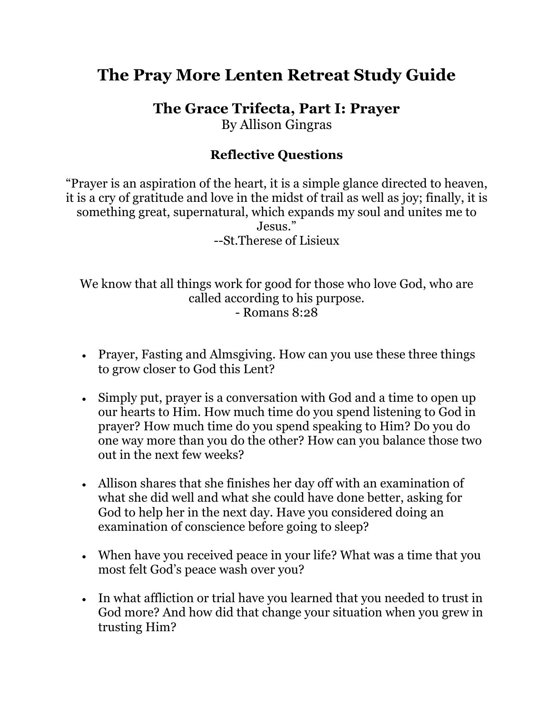## **The Pray More Lenten Retreat Study Guide**

**The Grace Trifecta, Part I: Prayer**

By Allison Gingras

## **Reflective Questions**

"Prayer is an aspiration of the heart, it is a simple glance directed to heaven, it is a cry of gratitude and love in the midst of trail as well as joy; finally, it is something great, supernatural, which expands my soul and unites me to Jesus<sup>"</sup>. --St.Therese of Lisieux

We know that all things work for good for those who love God, who are called according to his purpose. - Romans 8:28

- Prayer, Fasting and Almsgiving. How can you use these three things to grow closer to God this Lent?
- Simply put, prayer is a conversation with God and a time to open up our hearts to Him. How much time do you spend listening to God in prayer? How much time do you spend speaking to Him? Do you do one way more than you do the other? How can you balance those two out in the next few weeks?
- Allison shares that she finishes her day off with an examination of what she did well and what she could have done better, asking for God to help her in the next day. Have you considered doing an examination of conscience before going to sleep?
- When have you received peace in your life? What was a time that you most felt God's peace wash over you?
- In what affliction or trial have you learned that you needed to trust in God more? And how did that change your situation when you grew in trusting Him?